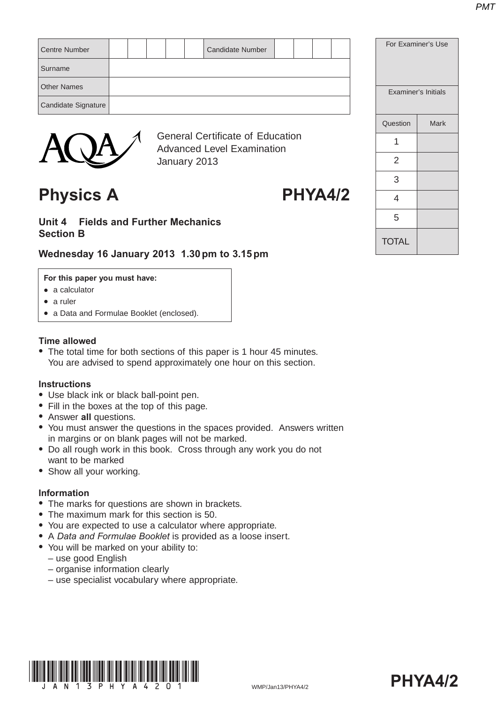| <b>Centre Number</b> |  |        |  | <b>Candidate Number</b> |  |  |
|----------------------|--|--------|--|-------------------------|--|--|
| Surname              |  |        |  |                         |  |  |
| <b>Other Names</b>   |  |        |  |                         |  |  |
| Candidate Signature  |  |        |  |                         |  |  |
|                      |  | $\sim$ |  |                         |  |  |



General Certificate of Education Advanced Level Examination January 2013

## Physics A PHYA4/2

#### **Unit 4 Fields and Further Mechanics Section B**

### **Wednesday 16 January 2013 1.30 pm to 3.15 pm**

#### **For this paper you must have:**

- $\bullet$  a calculator
- $\bullet$  a ruler
- a Data and Formulae Booklet (enclosed).

#### **Time allowed**

• The total time for both sections of this paper is 1 hour 45 minutes. You are advised to spend approximately one hour on this section.

#### **Instructions**

- Use black ink or black ball-point pen.
- Fill in the boxes at the top of this page.
- **Answer all questions.**
- You must answer the questions in the spaces provided. Answers written in margins or on blank pages will not be marked.
- Do all rough work in this book. Cross through any work you do not want to be marked
- Show all your working.

#### **Information**

- The marks for questions are shown in brackets.
- The maximum mark for this section is 50.
- You are expected to use a calculator where appropriate.
- A *Data and Formulae Booklet* is provided as a loose insert.
- You will be marked on your ability to:
	- use good English
	- organise information clearly
	- use specialist vocabulary where appropriate.





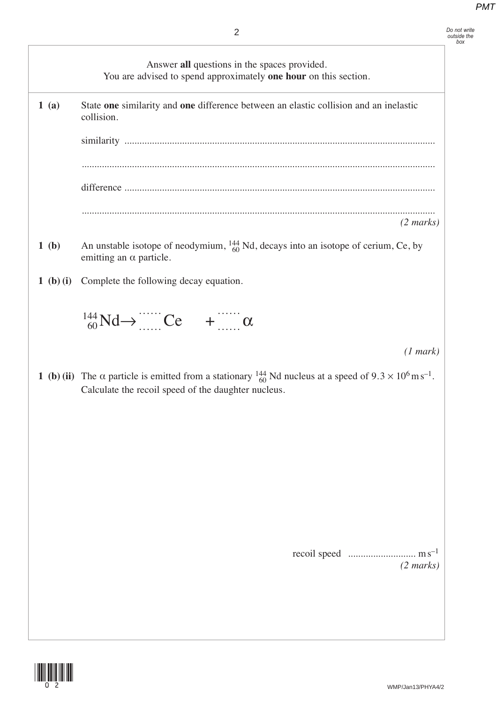*Do not write outside the box*

Answer **all** questions in the spaces provided.

|           | You are advised to spend approximately one hour on this section.                                                                                                                                  |
|-----------|---------------------------------------------------------------------------------------------------------------------------------------------------------------------------------------------------|
| 1(a)      | State one similarity and one difference between an elastic collision and an inelastic<br>collision.                                                                                               |
|           |                                                                                                                                                                                                   |
|           |                                                                                                                                                                                                   |
|           |                                                                                                                                                                                                   |
|           | $(2 \text{ marks})$                                                                                                                                                                               |
| 1(b)      | An unstable isotope of neodymium, $^{144}_{60}$ Nd, decays into an isotope of cerium, Ce, by<br>emitting an $\alpha$ particle.                                                                    |
| 1 (b) (i) | Complete the following decay equation.                                                                                                                                                            |
|           | $^{144}_{60}$ Nd $\rightarrow$ $^{144}$ Ce $+$ $^{144}$ $\alpha$                                                                                                                                  |
|           | (1 mark)                                                                                                                                                                                          |
|           | 1 (b) (ii) The $\alpha$ particle is emitted from a stationary $^{144}_{60}$ Nd nucleus at a speed of $9.3 \times 10^6$ m s <sup>-1</sup> .<br>Calculate the recoil speed of the daughter nucleus. |
|           |                                                                                                                                                                                                   |
|           |                                                                                                                                                                                                   |
|           |                                                                                                                                                                                                   |
|           |                                                                                                                                                                                                   |
|           |                                                                                                                                                                                                   |

recoil speed ........................... m s–1 *(2 marks)*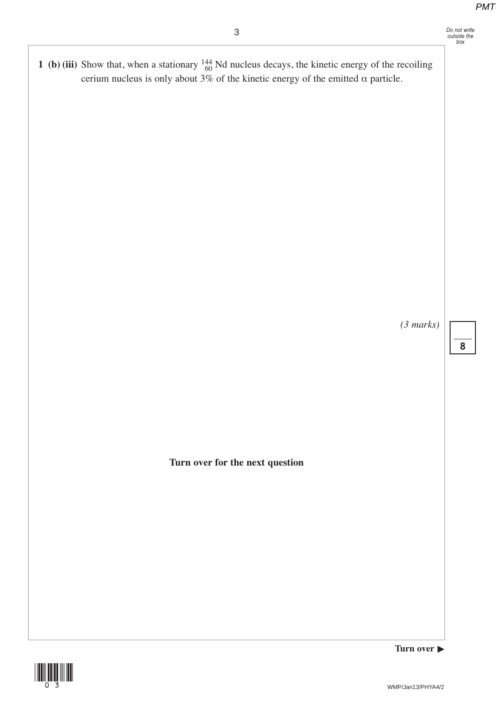**1** (b) (iii) Show that, when a stationary  $^{144}_{60}$  Nd nucleus decays, the kinetic energy of the recoiling cerium nucleus is only about 3% of the kinetic energy of the emitted  $\alpha$  particle.

*(3 marks)*

**8**

**Turn over for the next question** 



**Turn over**  $\blacktriangleright$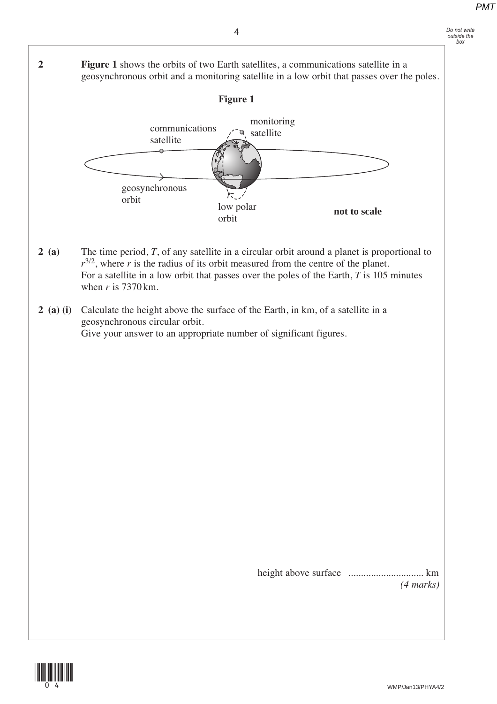*Do not write outside the box*





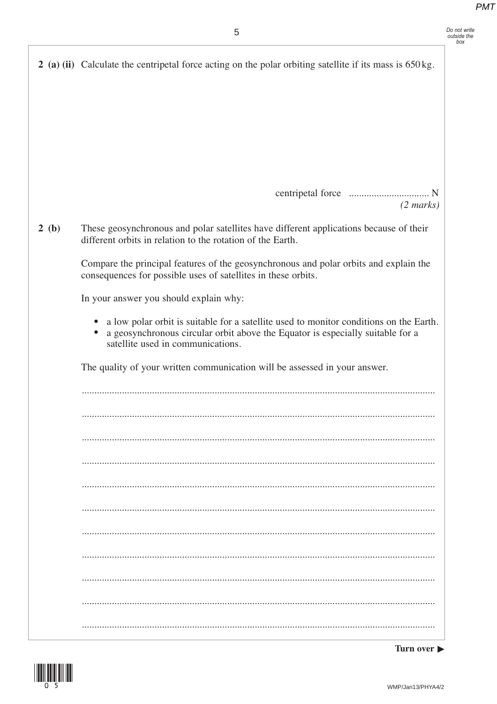|      | 5                                                                                                                                                                                                             | Do not write<br>outside the |
|------|---------------------------------------------------------------------------------------------------------------------------------------------------------------------------------------------------------------|-----------------------------|
|      | 2 (a) (ii) Calculate the centripetal force acting on the polar orbiting satellite if its mass is $650 \text{ kg}$ .                                                                                           |                             |
|      | $(2 \text{ marks})$                                                                                                                                                                                           |                             |
| 2(b) | These geosynchronous and polar satellites have different applications because of their<br>different orbits in relation to the rotation of the Earth.                                                          |                             |
|      | Compare the principal features of the geosynchronous and polar orbits and explain the<br>consequences for possible uses of satellites in these orbits.                                                        |                             |
|      | In your answer you should explain why:                                                                                                                                                                        |                             |
|      | a low polar orbit is suitable for a satellite used to monitor conditions on the Earth.<br>a geosynchronous circular orbit above the Equator is especially suitable for a<br>satellite used in communications. |                             |
|      | The quality of your written communication will be assessed in your answer.                                                                                                                                    |                             |
|      |                                                                                                                                                                                                               |                             |
|      |                                                                                                                                                                                                               |                             |
|      |                                                                                                                                                                                                               |                             |
|      |                                                                                                                                                                                                               |                             |
|      |                                                                                                                                                                                                               |                             |
|      |                                                                                                                                                                                                               |                             |
|      |                                                                                                                                                                                                               |                             |
|      |                                                                                                                                                                                                               |                             |

WMP/Jan13/PHYA4/2

Turn over  $\blacktriangleright$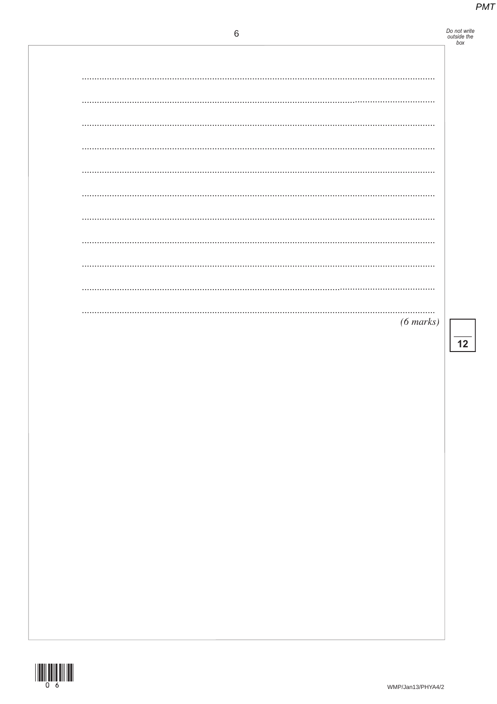# Do not write<br>outside the<br>box

| $(6 \text{ marks})$ |
|---------------------|

 $\overline{12}$ 

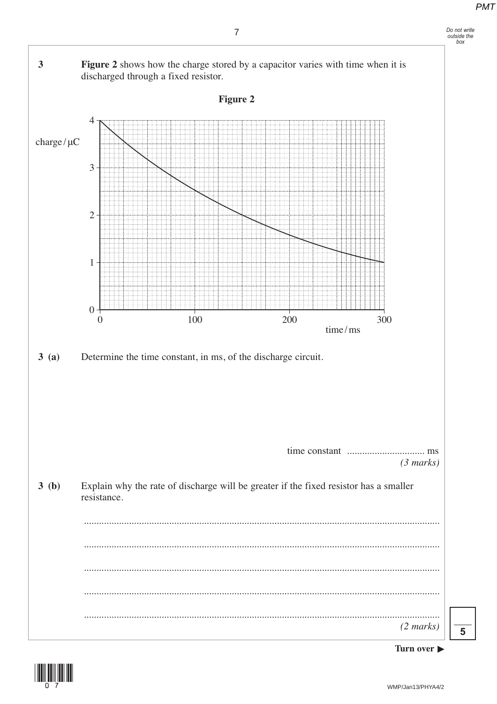

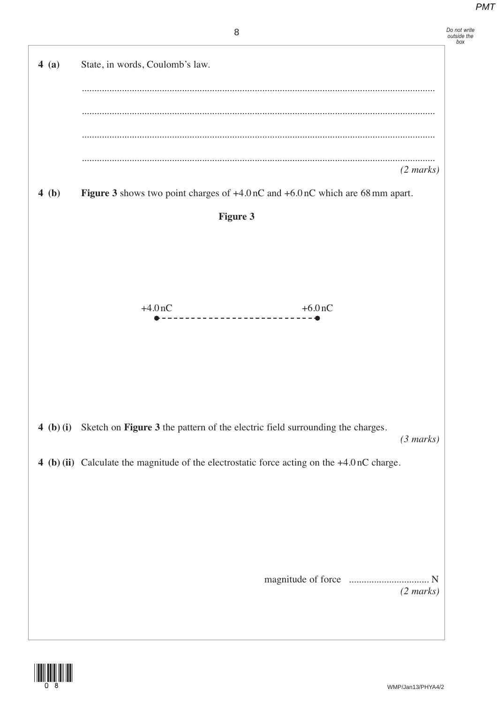

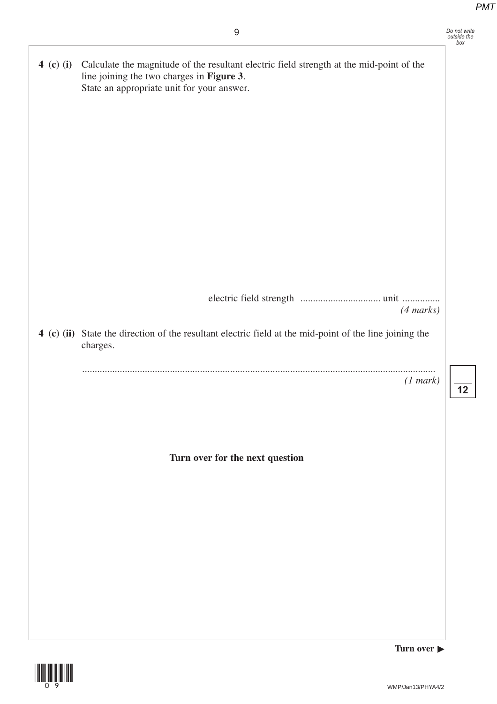|           | 9                                                                                                                                                                                   | Do not write<br>outside the<br>box |
|-----------|-------------------------------------------------------------------------------------------------------------------------------------------------------------------------------------|------------------------------------|
| 4 (c) (i) | Calculate the magnitude of the resultant electric field strength at the mid-point of the<br>line joining the two charges in Figure 3.<br>State an appropriate unit for your answer. |                                    |
|           |                                                                                                                                                                                     |                                    |
|           |                                                                                                                                                                                     |                                    |
|           |                                                                                                                                                                                     |                                    |
|           |                                                                                                                                                                                     |                                    |
|           | $(4 \text{ marks})$                                                                                                                                                                 |                                    |
|           | 4 (c) (ii) State the direction of the resultant electric field at the mid-point of the line joining the<br>charges.                                                                 |                                    |
|           | (1 mark)                                                                                                                                                                            | 12                                 |
|           | Turn over for the next question                                                                                                                                                     |                                    |
|           |                                                                                                                                                                                     |                                    |
|           |                                                                                                                                                                                     |                                    |
|           |                                                                                                                                                                                     |                                    |
|           |                                                                                                                                                                                     |                                    |



**Turn over**  $\blacktriangleright$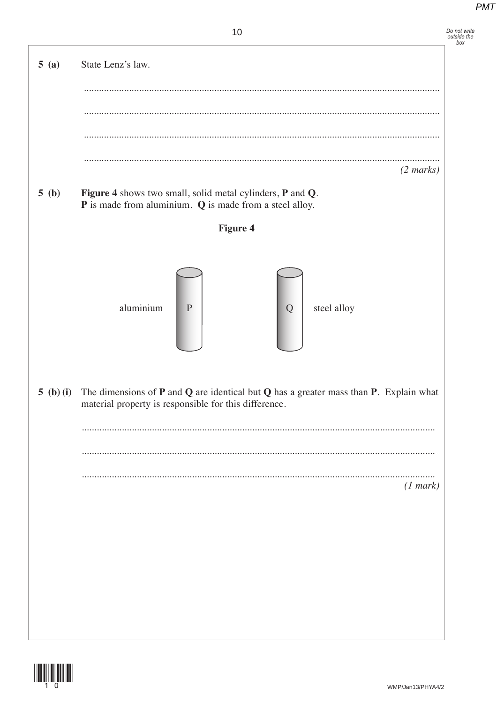Do not write<br>outside the<br>box

 $(2 marks)$ 

. . . . . . . . . . . . . .  $(1 mark)$ 

WMP/Jan13/PHYA4/2

**Figure 4** 

Figure 4 shows two small, solid metal cylinders, P and Q.  $P$  is made from aluminium.  $Q$  is made from a steel alloy.

 $\overline{P}$ 

material property is responsible for this difference.

 $\overline{Q}$ 

The dimensions of  $P$  and  $Q$  are identical but  $Q$  has a greater mass than  $P$ . Explain what

steel alloy

 $5(a)$ 

 $5(b)$ 

5 (b) (i)

State Lenz's law.

aluminium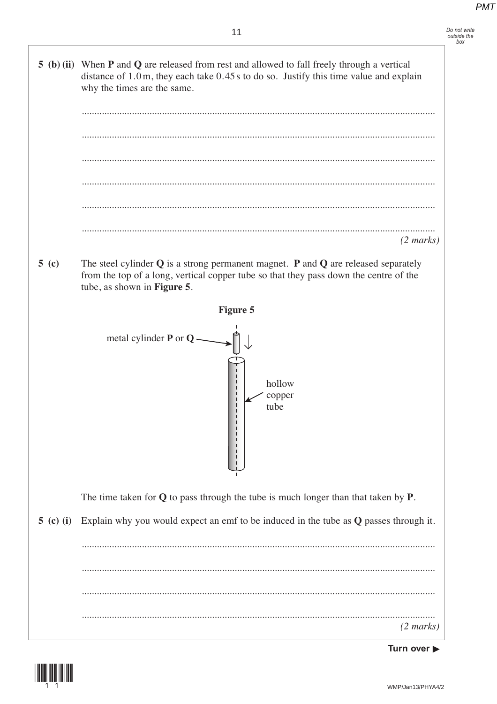